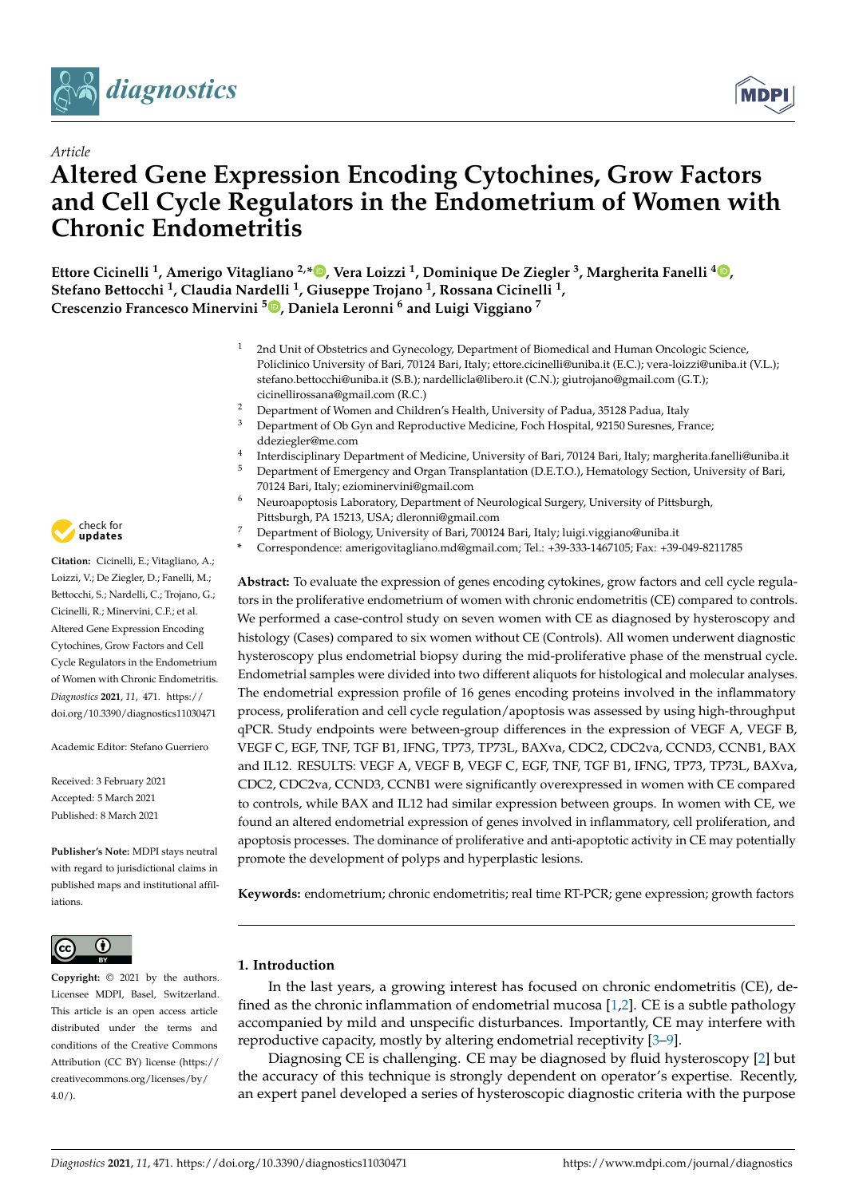



# **Altered Gene Expression Encoding Cytochines, Grow Factors and Cell Cycle Regulators in the Endometrium of Women with Chronic Endometritis**

**Ettore Cicinelli <sup>1</sup> , Amerigo Vitagliano 2,[\\*](https://orcid.org/0000-0002-2824-5435) , Vera Loizzi <sup>1</sup> , Dominique De Ziegler <sup>3</sup> , Margherita Fanelli <sup>4</sup> [,](https://orcid.org/0000-0002-0128-9745) Stefano Bettocchi <sup>1</sup> , Claudia Nardelli <sup>1</sup> , Giuseppe Trojano <sup>1</sup> , Rossana Cicinelli <sup>1</sup> , Crescenzio Francesco Minervini [5](https://orcid.org/0000-0002-4382-9906) , Daniela Leronni <sup>6</sup> and Luigi Viggiano <sup>7</sup>**

- 2nd Unit of Obstetrics and Gynecology, Department of Biomedical and Human Oncologic Science, Policlinico University of Bari, 70124 Bari, Italy; ettore.cicinelli@uniba.it (E.C.); vera-loizzi@uniba.it (V.L.); stefano.bettocchi@uniba.it (S.B.); nardellicla@libero.it (C.N.); giutrojano@gmail.com (G.T.); cicinellirossana@gmail.com (R.C.)
- <sup>2</sup> Department of Women and Children's Health, University of Padua, 35128 Padua, Italy
- <sup>3</sup> Department of Ob Gyn and Reproductive Medicine, Foch Hospital, 92150 Suresnes, France; ddeziegler@me.com
- 4 Interdisciplinary Department of Medicine, University of Bari, 70124 Bari, Italy; margherita.fanelli@uniba.it
- <sup>5</sup> Department of Emergency and Organ Transplantation (D.E.T.O.), Hematology Section, University of Bari, 70124 Bari, Italy; eziominervini@gmail.com
- <sup>6</sup> Neuroapoptosis Laboratory, Department of Neurological Surgery, University of Pittsburgh, Pittsburgh, PA 15213, USA; dleronni@gmail.com
- <sup>7</sup> Department of Biology, University of Bari, 700124 Bari, Italy; luigi.viggiano@uniba.it
- **\*** Correspondence: amerigovitagliano.md@gmail.com; Tel.: +39-333-1467105; Fax: +39-049-8211785

**Abstract:** To evaluate the expression of genes encoding cytokines, grow factors and cell cycle regulators in the proliferative endometrium of women with chronic endometritis (CE) compared to controls. We performed a case-control study on seven women with CE as diagnosed by hysteroscopy and histology (Cases) compared to six women without CE (Controls). All women underwent diagnostic hysteroscopy plus endometrial biopsy during the mid-proliferative phase of the menstrual cycle. Endometrial samples were divided into two different aliquots for histological and molecular analyses. The endometrial expression profile of 16 genes encoding proteins involved in the inflammatory process, proliferation and cell cycle regulation/apoptosis was assessed by using high-throughput qPCR. Study endpoints were between-group differences in the expression of VEGF A, VEGF B, VEGF C, EGF, TNF, TGF B1, IFNG, TP73, TP73L, BAXva, CDC2, CDC2va, CCND3, CCNB1, BAX and IL12. RESULTS: VEGF A, VEGF B, VEGF C, EGF, TNF, TGF B1, IFNG, TP73, TP73L, BAXva, CDC2, CDC2va, CCND3, CCNB1 were significantly overexpressed in women with CE compared to controls, while BAX and IL12 had similar expression between groups. In women with CE, we found an altered endometrial expression of genes involved in inflammatory, cell proliferation, and apoptosis processes. The dominance of proliferative and anti-apoptotic activity in CE may potentially promote the development of polyps and hyperplastic lesions.

**Keywords:** endometrium; chronic endometritis; real time RT-PCR; gene expression; growth factors

# **1. Introduction**

In the last years, a growing interest has focused on chronic endometritis (CE), defined as the chronic inflammation of endometrial mucosa [\[1](#page-7-0)[,2\]](#page-7-1). CE is a subtle pathology accompanied by mild and unspecific disturbances. Importantly, CE may interfere with reproductive capacity, mostly by altering endometrial receptivity [\[3–](#page-7-2)[9\]](#page-8-0).

Diagnosing CE is challenging. CE may be diagnosed by fluid hysteroscopy [\[2\]](#page-7-1) but the accuracy of this technique is strongly dependent on operator's expertise. Recently, an expert panel developed a series of hysteroscopic diagnostic criteria with the purpose



**Citation:** Cicinelli, E.; Vitagliano, A.; Loizzi, V.; De Ziegler, D.; Fanelli, M.; Bettocchi, S.; Nardelli, C.; Trojano, G.; Cicinelli, R.; Minervini, C.F.; et al. Altered Gene Expression Encoding Cytochines, Grow Factors and Cell Cycle Regulators in the Endometrium of Women with Chronic Endometritis. *Diagnostics* **2021**, *11*, 471. [https://](https://doi.org/10.3390/diagnostics11030471) [doi.org/10.3390/diagnostics11030471](https://doi.org/10.3390/diagnostics11030471)

Academic Editor: Stefano Guerriero

Received: 3 February 2021 Accepted: 5 March 2021 Published: 8 March 2021

**Publisher's Note:** MDPI stays neutral with regard to jurisdictional claims in published maps and institutional affiliations.



**Copyright:** © 2021 by the authors. Licensee MDPI, Basel, Switzerland. This article is an open access article distributed under the terms and conditions of the Creative Commons Attribution (CC BY) license (https:/[/](https://creativecommons.org/licenses/by/4.0/) [creativecommons.org/licenses/by/](https://creativecommons.org/licenses/by/4.0/)  $4.0/$ ).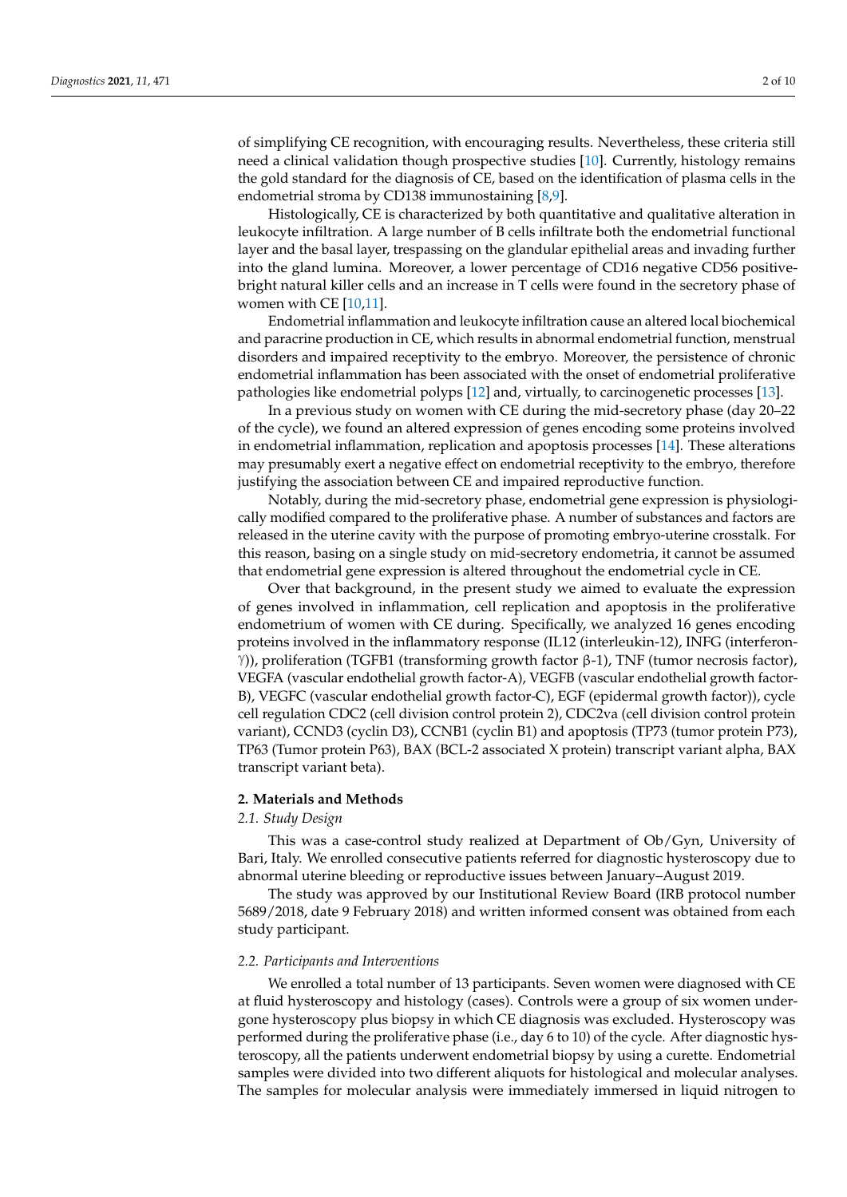of simplifying CE recognition, with encouraging results. Nevertheless, these criteria still need a clinical validation though prospective studies [\[10\]](#page-8-1). Currently, histology remains the gold standard for the diagnosis of CE, based on the identification of plasma cells in the endometrial stroma by CD138 immunostaining [\[8](#page-8-2)[,9\]](#page-8-0).

Histologically, CE is characterized by both quantitative and qualitative alteration in leukocyte infiltration. A large number of B cells infiltrate both the endometrial functional layer and the basal layer, trespassing on the glandular epithelial areas and invading further into the gland lumina. Moreover, a lower percentage of CD16 negative CD56 positivebright natural killer cells and an increase in T cells were found in the secretory phase of women with CE [\[10,](#page-8-1)[11\]](#page-8-3).

Endometrial inflammation and leukocyte infiltration cause an altered local biochemical and paracrine production in CE, which results in abnormal endometrial function, menstrual disorders and impaired receptivity to the embryo. Moreover, the persistence of chronic endometrial inflammation has been associated with the onset of endometrial proliferative pathologies like endometrial polyps [\[12\]](#page-8-4) and, virtually, to carcinogenetic processes [\[13\]](#page-8-5). *Diagnostics* **2021**, *11*, x FOR PEER REVIEW 2 of 10 the accuracy of this technique is strongly dependent on operator's experiment on  $\mathbf{r}_i$ expert panel developed a series of hysteroscopic diagnostic criteria with the purpose of  $\mathbf{r}$ 

In a previous study on women with CE during the mid-secretory phase (day 20–22 of the cycle), we found an altered expression of genes encoding some proteins involved in endometrial inflammation, replication and apoptosis processes [\[14\]](#page-8-6). These alterations may presumably exert a negative effect on endometrial receptivity to the embryo, therefore justifying the association between CE and impaired reproductive function.  $\delta f$ Histologically, CE is characterized by both quantitative and qualitative alteration in leukocyte infiltration. A large number of B cells infiltrate both the endometrial functional ther into the gland luminos  $\mathbf{m}$  a lower percentage of  $\mathbf{m}$  negativebright natural killer cells and an increase in T cells were found in the secretory phase of  $\mathcal{L}$ 

Notably, during the mid-secretory phase, endometrial gene expression is physiologically modified compared to the proliferative phase. A number of substances and factors are released in the uterine cavity with the purpose of promoting embryo-uterine crosstalk. For this reason, basing on a single study on mid-secretory endometria, it cannot be assumed that endometrial gene expression is altered throughout the endometrial cycle in CE. chronic endometrial inflammation has been associated with the onset of endometrial proliferative pathologies like endometrial polyps [12] and, virtually, to carcinogenetic proof the cycle), we found an altered expression of genes encoding some proteins involved in endometrial inflammation, replication and apoptosis processes [14]. These alterations may presumably exert a negative effect on endometrial receptivity to the embryo, there-

Over that background, in the present study we aimed to evaluate the expression of genes involved in inflammation, cell replication and apoptosis in the proliferative endometrium of women with CE during. Specifically, we analyzed 16 genes encoding proteins involved in the inflammatory response (IL12 (interleukin-12), INFG (interferon- $\sigma$ for this reason, basing on  $\sigma$  $\mathcal{S}_{\mathbf{r}}$ Over that background, in the present study we aimed to evaluate the expression of  $\mu_{\rm 10}$  $\tilde{\gamma}$ )), problem (TGFB1  $\frac{1}{\sqrt{1-\frac{1}{n}}}$ ), The contractor  $\frac{1}{\sqrt{1-\frac{1}{n}}}$  $V_{\rm E}$  (vascular endothelial growth factor-A), VEGFB (vascular endothelial growth factor-A), VEGFB (vascular endothelial growth factor-A), VEGFB (vascular endothelial growth factor-A), VEGFB (vascular endothelial growth  $\theta$ , VEGFC (vascular endothelial growth factor-C), EGF (epidermal growth factor), EGF (epidermal growth factor), cycle cell regulation CDC2 (cell division control protein 2), CDC2va (cell division control protein 2), CDC2va (cell division control protein 2), CDC2va (cell division control protein 2), CDC2va (cell division control prot  $=$   $\mu$  $\text{real}$  $T_{\rm tot}$  and  $T_{\rm tot}$  realized at Department of Ob/Gyn, University of Ob/Gyn, University of Ob/Gyn, University of Bari, University of Ob/Gyn, University of Ob/Gyn, University of Department of Ob/Gyn, University of Departm  $\mathbf{F}$ )), proliferation (TGFB1 (transforming growth factor β-1), TNF (tumor necrosis factor), VEGFA (vascular endothelial growth factor-A), VEGFB (vascular endothelial growth factor-B), VEGFC (vascular endothelial growth factor-C), EGF (epidermal growth factor)), cycle cell regulation CDC2 (cell division control protein 2), CDC2va (cell division control protein variant), CCND3 (cyclin D3), CCNB1 (cyclin B1) and apoptosis (TP73 (tumor protein P73), TP63 (Tumor protein P63), BAX (BCL-2 associated X protein) transcript variant alpha, BAX transcript variant beta).

## **2. Materials and Methods**

#### $\mathcal{L} \cdot \mathbf{1} \cdot$ *2.1. Study Design*

This was a case-control study realized at Department of Ob/Gyn, University of Bari, Italy. We enrolled consecutive patients referred for diagnostic hysteroscopy due to abnormal uterine bleeding or reproductive issues between January–August 2019.

The study was approved by our Institutional Review Board (IRB protocol number 5689/2018, date 9 February 2018) and written informed consent was obtained from each study participant.

#### *2.2. Participants and Interventions*

We enrolled a total number of 13 participants. Seven women were diagnosed with CE at fluid hysteroscopy and histology (cases). Controls were a group of six women undergone hysteroscopy plus biopsy in which CE diagnosis was excluded. Hysteroscopy was performed during the proliferative phase (i.e., day 6 to 10) of the cycle. After diagnostic hysteroscopy, all the patients underwent endometrial biopsy by using a curette. Endometrial samples were divided into two different aliquots for histological and molecular analyses. The samples for molecular analysis were immediately immersed in liquid nitrogen to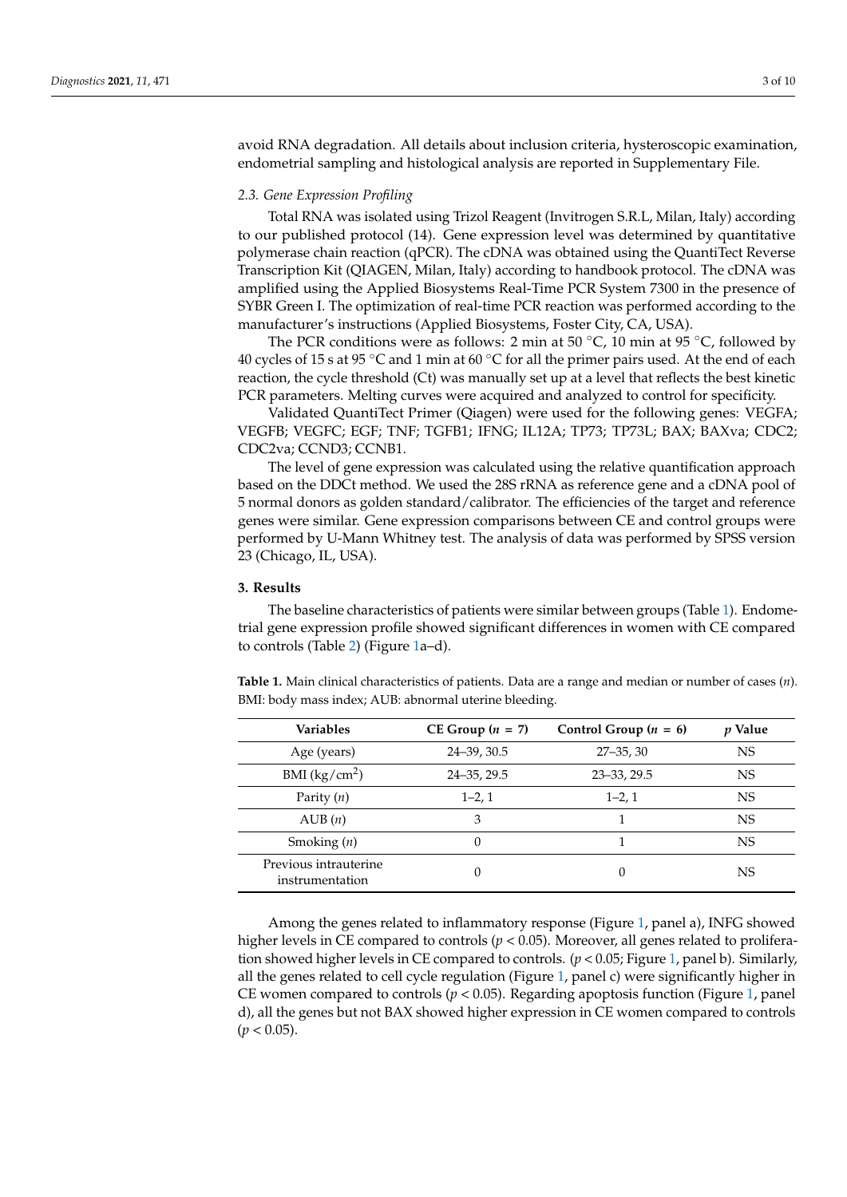avoid RNA degradation. All details about inclusion criteria, hysteroscopic examination, endometrial sampling and histological analysis are reported in Supplementary File.

#### *2.3. Gene Expression Profiling*

Total RNA was isolated using Trizol Reagent (Invitrogen S.R.L, Milan, Italy) according to our published protocol (14). Gene expression level was determined by quantitative polymerase chain reaction (qPCR). The cDNA was obtained using the QuantiTect Reverse Transcription Kit (QIAGEN, Milan, Italy) according to handbook protocol. The cDNA was amplified using the Applied Biosystems Real-Time PCR System 7300 in the presence of SYBR Green I. The optimization of real-time PCR reaction was performed according to the manufacturer's instructions (Applied Biosystems, Foster City, CA, USA).

The PCR conditions were as follows: 2 min at 50  $°C$ , 10 min at 95  $°C$ , followed by 40 cycles of 15 s at 95 °C and 1 min at 60 °C for all the primer pairs used. At the end of each reaction, the cycle threshold (Ct) was manually set up at a level that reflects the best kinetic PCR parameters. Melting curves were acquired and analyzed to control for specificity.

Validated QuantiTect Primer (Qiagen) were used for the following genes: VEGFA; VEGFB; VEGFC; EGF; TNF; TGFB1; IFNG; IL12A; TP73; TP73L; BAX; BAXva; CDC2; CDC2va; CCND3; CCNB1.

The level of gene expression was calculated using the relative quantification approach based on the DDCt method. We used the 28S rRNA as reference gene and a cDNA pool of 5 normal donors as golden standard/calibrator. The efficiencies of the target and reference genes were similar. Gene expression comparisons between CE and control groups were performed by U-Mann Whitney test. The analysis of data was performed by SPSS version 23 (Chicago, IL, USA).

### **3. Results**

The baseline characteristics of patients were similar between groups (Table [1\)](#page-2-0). Endometrial gene expression profile showed significant differences in women with CE compared to controls (Table [2\)](#page-3-0) (Figure [1a](#page-4-0)–d).

<span id="page-2-0"></span>**Table 1.** Main clinical characteristics of patients. Data are a range and median or number of cases (*n*). BMI: body mass index; AUB: abnormal uterine bleeding.

| <b>Variables</b>                         | $CE Group (n = 7)$ | Control Group $(n = 6)$ |           |
|------------------------------------------|--------------------|-------------------------|-----------|
| Age (years)                              | 24-39, 30.5        | $27 - 35, 30$           | <b>NS</b> |
| BMI $(kg/cm2)$                           | $24 - 35, 29.5$    | $23 - 33, 29.5$         | NS.       |
| Parity $(n)$                             | $1-2, 1$           |                         | NS.       |
| AUB(n)                                   | 3                  |                         | <b>NS</b> |
| Smoking $(n)$                            | 0                  |                         | <b>NS</b> |
| Previous intrauterine<br>instrumentation | 0                  | 0                       | <b>NS</b> |

Among the genes related to inflammatory response (Figure [1,](#page-4-0) panel a), INFG showed higher levels in CE compared to controls ( $p < 0.05$ ). Moreover, all genes related to proliferation showed higher levels in CE compared to controls. (*p* < 0.05; Figure [1,](#page-4-0) panel b). Similarly, all the genes related to cell cycle regulation (Figure [1,](#page-4-0) panel c) were significantly higher in CE women compared to controls ( $p < 0.05$ ). Regarding apoptosis function (Figure [1,](#page-4-0) panel d), all the genes but not BAX showed higher expression in CE women compared to controls  $(p < 0.05)$ .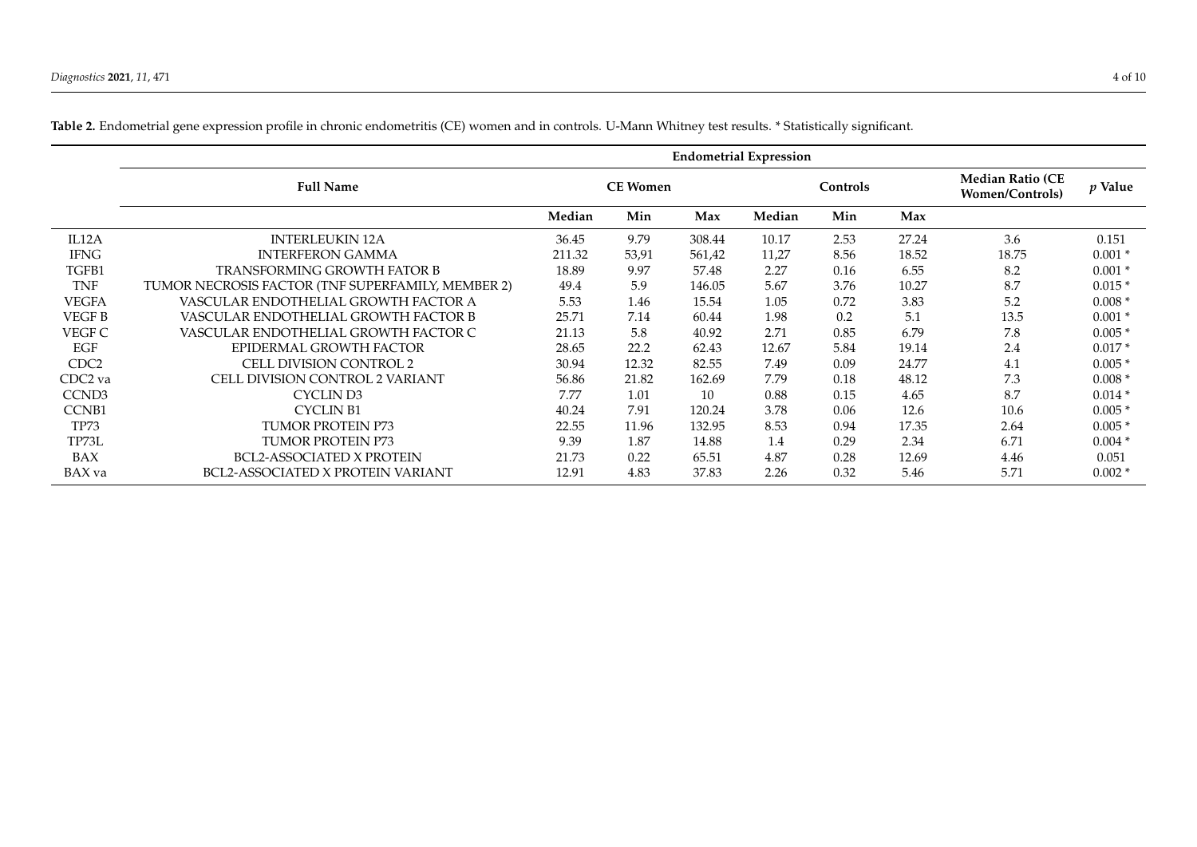<span id="page-3-0"></span>

|                   | <b>Endometrial Expression</b>                     |                 |       |        |        |          |       |                                                   |           |  |  |
|-------------------|---------------------------------------------------|-----------------|-------|--------|--------|----------|-------|---------------------------------------------------|-----------|--|--|
|                   | <b>Full Name</b>                                  | <b>CE Women</b> |       |        |        | Controls |       | <b>Median Ratio (CE</b><br><b>Women/Controls)</b> | $p$ Value |  |  |
|                   |                                                   | Median          | Min   | Max    | Median | Min      | Max   |                                                   |           |  |  |
| IL12A             | <b>INTERLEUKIN 12A</b>                            | 36.45           | 9.79  | 308.44 | 10.17  | 2.53     | 27.24 | 3.6                                               | 0.151     |  |  |
| <b>IFNG</b>       | <b>INTERFERON GAMMA</b>                           | 211.32          | 53,91 | 561,42 | 11,27  | 8.56     | 18.52 | 18.75                                             | $0.001*$  |  |  |
| TGFB1             | <b>TRANSFORMING GROWTH FATOR B</b>                | 18.89           | 9.97  | 57.48  | 2.27   | 0.16     | 6.55  | 8.2                                               | $0.001*$  |  |  |
| TNF               | TUMOR NECROSIS FACTOR (TNF SUPERFAMILY, MEMBER 2) | 49.4            | 5.9   | 146.05 | 5.67   | 3.76     | 10.27 | 8.7                                               | $0.015*$  |  |  |
| <b>VEGFA</b>      | VASCULAR ENDOTHELIAL GROWTH FACTOR A              | 5.53            | 1.46  | 15.54  | 1.05   | 0.72     | 3.83  | 5.2                                               | $0.008*$  |  |  |
| <b>VEGFB</b>      | VASCULAR ENDOTHELIAL GROWTH FACTOR B              | 25.71           | 7.14  | 60.44  | 1.98   | 0.2      | 5.1   | 13.5                                              | $0.001*$  |  |  |
| VEGF C            | VASCULAR ENDOTHELIAL GROWTH FACTOR C              | 21.13           | 5.8   | 40.92  | 2.71   | 0.85     | 6.79  | 7.8                                               | $0.005*$  |  |  |
| EGF               | EPIDERMAL GROWTH FACTOR                           | 28.65           | 22.2  | 62.43  | 12.67  | 5.84     | 19.14 | 2.4                                               | $0.017*$  |  |  |
| CDC <sub>2</sub>  | CELL DIVISION CONTROL 2                           | 30.94           | 12.32 | 82.55  | 7.49   | 0.09     | 24.77 | 4.1                                               | $0.005*$  |  |  |
| CDC2 va           | CELL DIVISION CONTROL 2 VARIANT                   | 56.86           | 21.82 | 162.69 | 7.79   | 0.18     | 48.12 | 7.3                                               | $0.008*$  |  |  |
| CCND <sub>3</sub> | CYCLIN D3                                         | 7.77            | 1.01  | 10     | 0.88   | 0.15     | 4.65  | 8.7                                               | $0.014*$  |  |  |
| <b>CCNB1</b>      | <b>CYCLIN B1</b>                                  | 40.24           | 7.91  | 120.24 | 3.78   | 0.06     | 12.6  | 10.6                                              | $0.005*$  |  |  |
| TP73              | <b>TUMOR PROTEIN P73</b>                          | 22.55           | 11.96 | 132.95 | 8.53   | 0.94     | 17.35 | 2.64                                              | $0.005*$  |  |  |
| TP73L             | TUMOR PROTEIN P73                                 | 9.39            | 1.87  | 14.88  | 1.4    | 0.29     | 2.34  | 6.71                                              | $0.004*$  |  |  |
| BAX               | <b>BCL2-ASSOCIATED X PROTEIN</b>                  | 21.73           | 0.22  | 65.51  | 4.87   | 0.28     | 12.69 | 4.46                                              | 0.051     |  |  |
| BAX va            | BCL2-ASSOCIATED X PROTEIN VARIANT                 | 12.91           | 4.83  | 37.83  | 2.26   | 0.32     | 5.46  | 5.71                                              | $0.002*$  |  |  |

**Table 2.** Endometrial gene expression profile in chronic endometritis (CE) women and in controls. U-Mann Whitney test results. \* Statistically significant.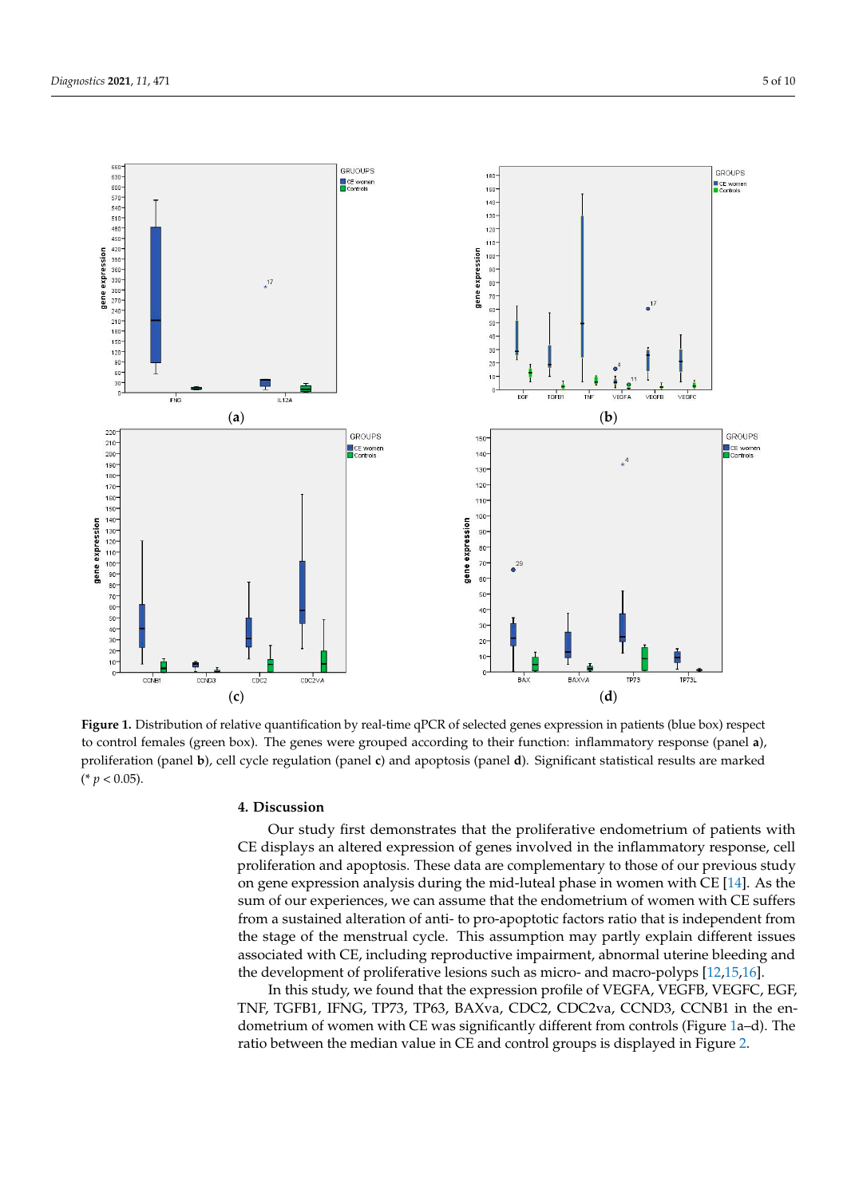<span id="page-4-0"></span>

Figure 1. Distribution of relative quantification by real-time qPCR of selected genes expression in patients (blue box) respect to control females (green box). The genes were grouped according to their function: inflammatory response (panel a), proliferation (panel b), cell cycle regulation (panel c) and apoptosis (panel d). Significant statistical results are marked (\* *p* < 0.05). (\* *p* < 0.05).

# **4. Discussion 4. Discussion**

Our study first demonstrates that the proliferative endometrium of patients with CE displays an altered expression of genes involved in the inflammatory response, cell proliferation and apoptosis. These data are complementary to those of our previous study on gene expression analysis during the mid-luteal phase in women with CE [\[14\]](#page-8-6). As the sum of our experiences, we can assume that the endometrium of women with CE suffers from a sustained alteration of anti- to pro-apoptotic factors ratio that is independent from the stage of the menstrual cycle. This assumption may partly explain different issues associated with CE, including reproductive impairment, abnormal uterine bleeding and the development of proliferative lesions such as micro- and macro-polyps [\[12](#page-8-4)[,15](#page-8-7)[,16\]](#page-8-8).

In this study, we found that the expression profile of VEGFA, VEGFB, VEGFC, EGF, In this study, we found that the expression profile of VEGFA, VEGFB, VEGFC, EGF, TNF, TGFB1, IFNG, TP73, TP63, BAXva, CDC2, CDC2va, CCND3, CCNB1 in the enmetrium of women with CE was significantly different from controls (Figure [1a](#page-4-0)–d). The dometrium of women with CE was significantly different from controls (Figure 1a–d). The ratio between the median value in CE and control groups is displayed in Figure 2. ratio between the median value in CE and control groups is displayed in Figure [2.](#page-5-0)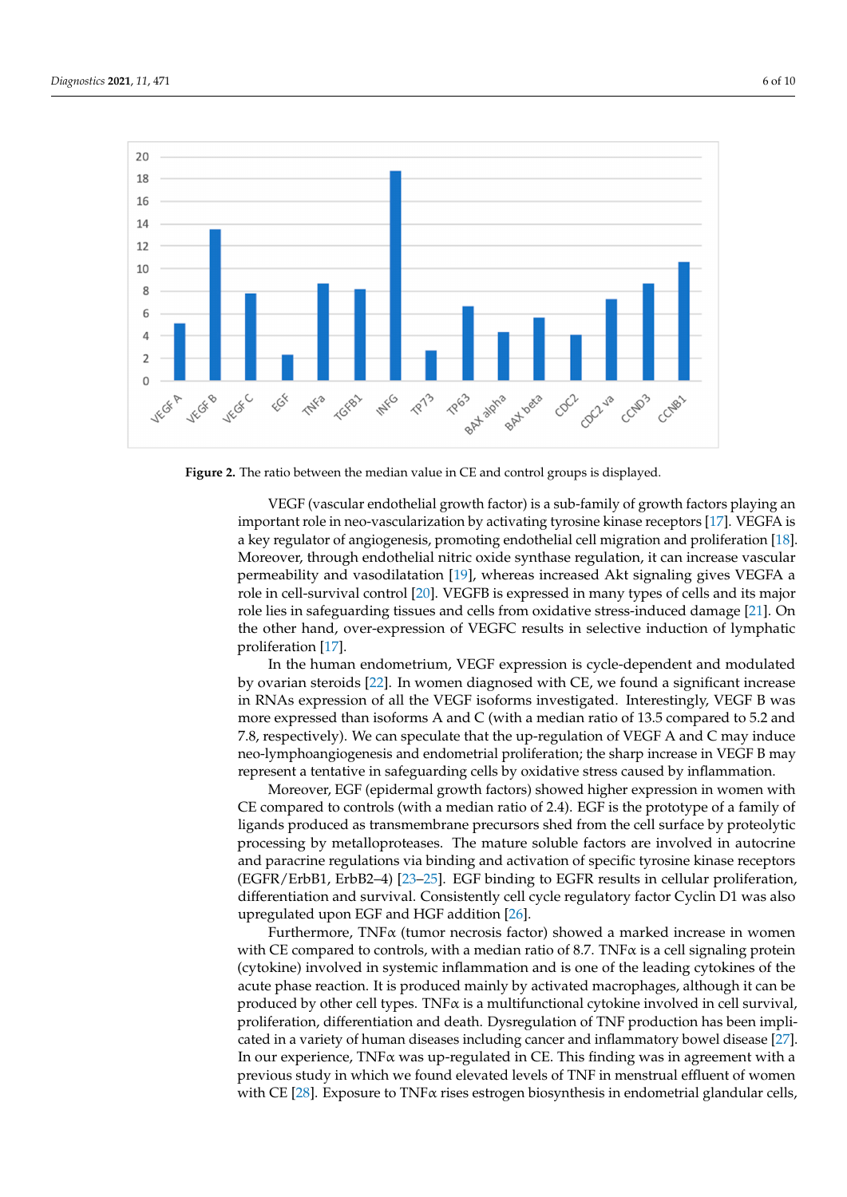<span id="page-5-0"></span>

**Figure 2.** The ratio between the median value in CE and control groups is displayed. **Figure 2.** The ratio between the median value in CE and control groups is displayed.

VEGF (vascular endothelial growth factor) is a sub‐family of growth factors playing VEGF (vascular endothelial growth factor) is a sub-family of growth factors playing an important role in neo-vascularization by activating tyrosine kinase receptors [\[17\]](#page-8-9). VEGFA is a key regulator of angiogenesis, promoting endothelial cell migration and proliferation [\[18\]](#page-8-10). Moreover, through endothelial nitric oxide synthase regulation, it can increase vascular permeability and vasodilatation [\[19\]](#page-8-11), whereas increased Akt signaling gives VEGFA a role in cell-survival control [\[20\]](#page-8-12). VEGFB is expressed in many types of cells and its major role lies in safeguarding tissues and cells from oxidative stress-i[ndu](#page-8-13)ced damage [21]. On the other hand, over-expression of VEGFC results in selective induction of lymphatic [pro](#page-8-9)liferation [17].

In the human endometrium, VEGF expression is cycle‐dependent and modulated by In the human endometrium, VEGF expression is cycle-dependent and modulated by ovarian steroids [\[22\]](#page-8-14). In women diagnosed with CE, we found a significant increase in RNAs expression of all the VEGF isoforms investigated. Interestingly, VEGF B was more expressed than isoforms A and C (with a median ratio of 13.5 compared to 5.2 and 7.8, respectively). We can speculate that the up-regulation of VEGF A and C may induce lymphoangiogenesis and endometrial proliferation; the sharp increase in VEGF B may neo-lymphoangiogenesis and endometrial proliferation; the sharp increase in VEGF B may represent a tentative in safeguarding cells by oxidative stress caused by inflammation. represent a tentative in safeguarding cells by oxidative stress caused by inflammation.

Moreover, EGF (epidermal growth factors) showed higher expression in women with Moreover, EGF (epidermal growth factors) showed higher expression in women with CE compared to controls (with a median ratio of 2.4). EGF is the prototype of a family of CE compared to controls (with a median ratio of 2.4). EGF is the prototype of a family of ligands produced as transmembrane precursors shed from the cell surface by proteolytic ligands produced as transmembrane precursors shed from the cell surface by proteolytic processing by metalloproteases. The mature soluble factors are involved in autocrine paracrine regulations via binding and activation of specific tyrosine kinase receptors and paracrine regulations via binding and activation of specific tyrosine kinase receptors  $(EGFR/ErbB1, ErbB2-4)$  [\[23–](#page-8-15)[25\]](#page-8-16). EGF binding to EGFR results in cellular proliferation, differentiation and survival. Consistently cell cycle regulatory factor Cyclin D1 was also upregulated upon EGF and HGF addition [\[26\]](#page-8-17).

Furthermore, TNFα (tumor necrosis factor) showed a marked increase in women Furthermore, TNFα (tumor necrosis factor) showed a marked increase in women with CE compared to controls, with a median ratio of 8.7. TNF $\alpha$  is a cell signaling protein (cytokine) involved in systemic inflammation and is one of the leading cytokines of the (cytokine) involved in systemic inflammation and is one of the leading cytokines of the acute phase reaction. It is produced mainly by activated macrophages, although it can be acute phase reaction. It is produced mainly by activated macrophages, although it can be produced by other cell types. TNF $\alpha$  is a multifunctional cytokine involved in cell survival, proliferation, differentiation and death. Dysregulation of TNF production has been impli-<br>
production has been implicated in a variety of human diseases including cancer and inflammatory bowel disease cated in a variety of human diseases including cancer and inflammatory bowel disease [\[27\]](#page-8-18). [27]. In our experience, TNFα was up‐regulated in CE. This finding was in agreement with In our experience, TNFα was up-regulated in CE. This finding was in agreement with a previous study in which we found elevated levels of TNF in menstrual effluent of women<br>in a change in the previous study in which we found elevated levels of TNF in menstrual effluent of women with CE [\[28\]](#page-8-19). Exposure to TNF $\alpha$  rises estrogen biosynthesis in endometrial glandular cells,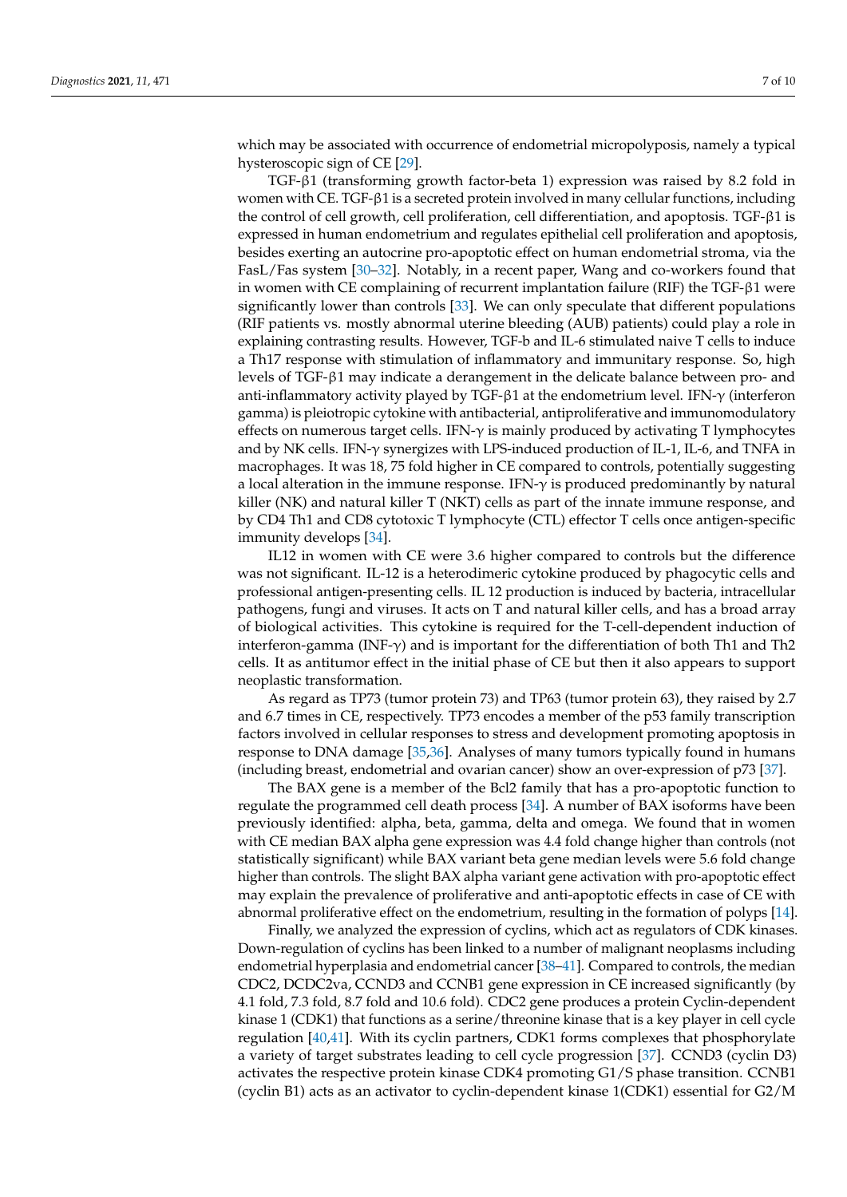which may be associated with occurrence of endometrial micropolyposis, namely a typical hysteroscopic sign of CE [\[29\]](#page-8-20).

TGF-β1 (transforming growth factor-beta 1) expression was raised by 8.2 fold in women with CE. TGF-β1 is a secreted protein involved in many cellular functions, including the control of cell growth, cell proliferation, cell differentiation, and apoptosis. TGF- $\beta$ 1 is expressed in human endometrium and regulates epithelial cell proliferation and apoptosis, besides exerting an autocrine pro-apoptotic effect on human endometrial stroma, via the FasL/Fas system [\[30–](#page-8-21)[32\]](#page-9-0). Notably, in a recent paper, Wang and co-workers found that in women with CE complaining of recurrent implantation failure (RIF) the TGF-β1 were significantly lower than controls [\[33\]](#page-9-1). We can only speculate that different populations (RIF patients vs. mostly abnormal uterine bleeding (AUB) patients) could play a role in explaining contrasting results. However, TGF-b and IL-6 stimulated naive T cells to induce a Th17 response with stimulation of inflammatory and immunitary response. So, high levels of TGF-β1 may indicate a derangement in the delicate balance between pro- and anti-inflammatory activity played by TGF-β1 at the endometrium level. IFN-γ (interferon gamma) is pleiotropic cytokine with antibacterial, antiproliferative and immunomodulatory effects on numerous target cells. IFN-γ is mainly produced by activating T lymphocytes and by NK cells. IFN-γ synergizes with LPS-induced production of IL-1, IL-6, and TNFA in macrophages. It was 18, 75 fold higher in CE compared to controls, potentially suggesting a local alteration in the immune response. IFN- $\gamma$  is produced predominantly by natural killer (NK) and natural killer T (NKT) cells as part of the innate immune response, and by CD4 Th1 and CD8 cytotoxic T lymphocyte (CTL) effector T cells once antigen-specific immunity develops [\[34\]](#page-9-2).

IL12 in women with CE were 3.6 higher compared to controls but the difference was not significant. IL-12 is a heterodimeric cytokine produced by phagocytic cells and professional antigen-presenting cells. IL 12 production is induced by bacteria, intracellular pathogens, fungi and viruses. It acts on T and natural killer cells, and has a broad array of biological activities. This cytokine is required for the T-cell-dependent induction of interferon-gamma (INF- $\gamma$ ) and is important for the differentiation of both Th1 and Th2 cells. It as antitumor effect in the initial phase of CE but then it also appears to support neoplastic transformation.

As regard as TP73 (tumor protein 73) and TP63 (tumor protein 63), they raised by 2.7 and 6.7 times in CE, respectively. TP73 encodes a member of the p53 family transcription factors involved in cellular responses to stress and development promoting apoptosis in response to DNA damage [\[35](#page-9-3)[,36\]](#page-9-4). Analyses of many tumors typically found in humans (including breast, endometrial and ovarian cancer) show an over-expression of p73 [\[37\]](#page-9-5).

The BAX gene is a member of the Bcl2 family that has a pro-apoptotic function to regulate the programmed cell death process [\[34\]](#page-9-2). A number of BAX isoforms have been previously identified: alpha, beta, gamma, delta and omega. We found that in women with CE median BAX alpha gene expression was 4.4 fold change higher than controls (not statistically significant) while BAX variant beta gene median levels were 5.6 fold change higher than controls. The slight BAX alpha variant gene activation with pro-apoptotic effect may explain the prevalence of proliferative and anti-apoptotic effects in case of CE with abnormal proliferative effect on the endometrium, resulting in the formation of polyps [\[14\]](#page-8-6).

Finally, we analyzed the expression of cyclins, which act as regulators of CDK kinases. Down-regulation of cyclins has been linked to a number of malignant neoplasms including endometrial hyperplasia and endometrial cancer [\[38](#page-9-6)[–41\]](#page-9-7). Compared to controls, the median CDC2, DCDC2va, CCND3 and CCNB1 gene expression in CE increased significantly (by 4.1 fold, 7.3 fold, 8.7 fold and 10.6 fold). CDC2 gene produces a protein Cyclin-dependent kinase 1 (CDK1) that functions as a serine/threonine kinase that is a key player in cell cycle regulation [\[40](#page-9-8)[,41\]](#page-9-7). With its cyclin partners, CDK1 forms complexes that phosphorylate a variety of target substrates leading to cell cycle progression [\[37\]](#page-9-5). CCND3 (cyclin D3) activates the respective protein kinase CDK4 promoting G1/S phase transition. CCNB1 (cyclin B1) acts as an activator to cyclin-dependent kinase 1(CDK1) essential for G2/M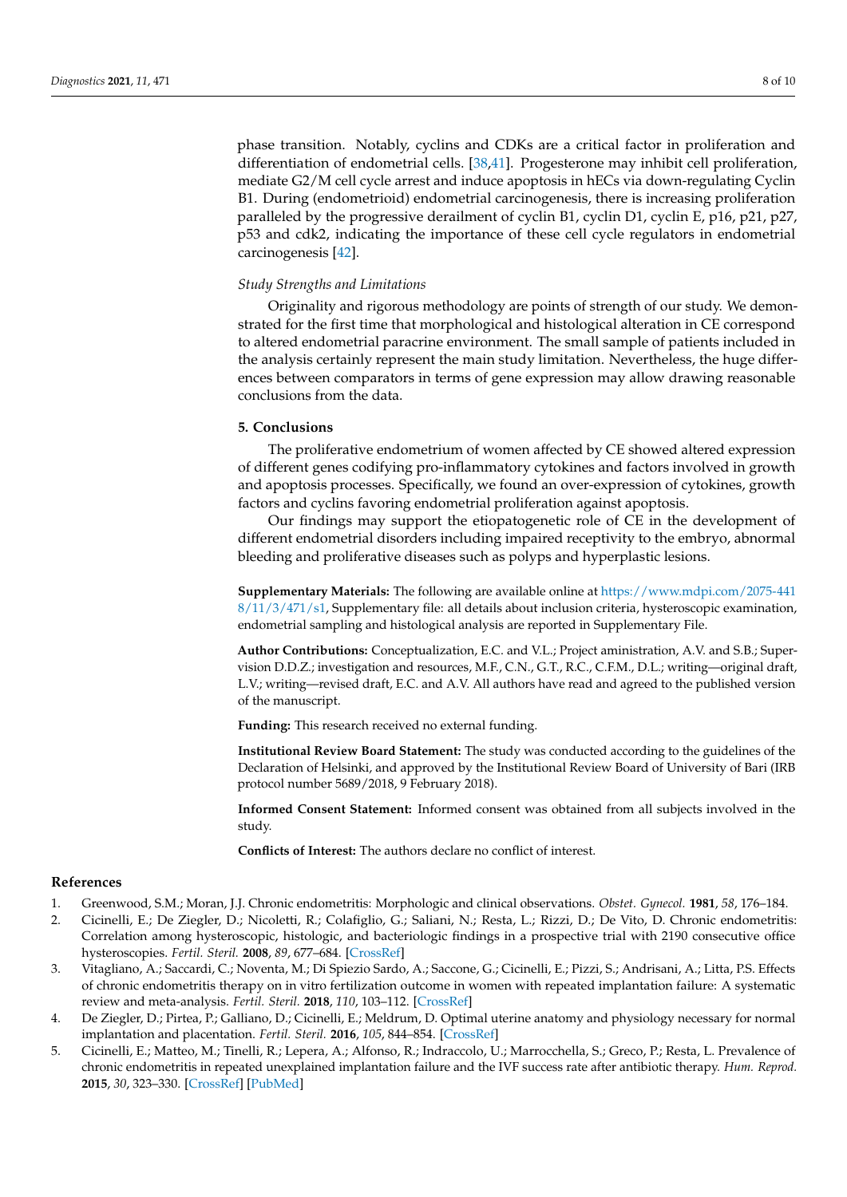phase transition. Notably, cyclins and CDKs are a critical factor in proliferation and differentiation of endometrial cells. [\[38](#page-9-6)[,41\]](#page-9-7). Progesterone may inhibit cell proliferation, mediate G2/M cell cycle arrest and induce apoptosis in hECs via down-regulating Cyclin B1. During (endometrioid) endometrial carcinogenesis, there is increasing proliferation paralleled by the progressive derailment of cyclin B1, cyclin D1, cyclin E, p16, p21, p27, p53 and cdk2, indicating the importance of these cell cycle regulators in endometrial carcinogenesis [\[42\]](#page-9-9).

#### *Study Strengths and Limitations*

Originality and rigorous methodology are points of strength of our study. We demonstrated for the first time that morphological and histological alteration in CE correspond to altered endometrial paracrine environment. The small sample of patients included in the analysis certainly represent the main study limitation. Nevertheless, the huge differences between comparators in terms of gene expression may allow drawing reasonable conclusions from the data.

# **5. Conclusions**

The proliferative endometrium of women affected by CE showed altered expression of different genes codifying pro-inflammatory cytokines and factors involved in growth and apoptosis processes. Specifically, we found an over-expression of cytokines, growth factors and cyclins favoring endometrial proliferation against apoptosis.

Our findings may support the etiopatogenetic role of CE in the development of different endometrial disorders including impaired receptivity to the embryo, abnormal bleeding and proliferative diseases such as polyps and hyperplastic lesions.

**Supplementary Materials:** The following are available online at [https://www.mdpi.com/2075-441](https://www.mdpi.com/2075-4418/11/3/471/s1) [8/11/3/471/s1,](https://www.mdpi.com/2075-4418/11/3/471/s1) Supplementary file: all details about inclusion criteria, hysteroscopic examination, endometrial sampling and histological analysis are reported in Supplementary File.

**Author Contributions:** Conceptualization, E.C. and V.L.; Project aministration, A.V. and S.B.; Supervision D.D.Z.; investigation and resources, M.F., C.N., G.T., R.C., C.F.M., D.L.; writing—original draft, L.V.; writing—revised draft, E.C. and A.V. All authors have read and agreed to the published version of the manuscript.

**Funding:** This research received no external funding.

**Institutional Review Board Statement:** The study was conducted according to the guidelines of the Declaration of Helsinki, and approved by the Institutional Review Board of University of Bari (IRB protocol number 5689/2018, 9 February 2018).

**Informed Consent Statement:** Informed consent was obtained from all subjects involved in the study.

**Conflicts of Interest:** The authors declare no conflict of interest.

#### **References**

- <span id="page-7-0"></span>1. Greenwood, S.M.; Moran, J.J. Chronic endometritis: Morphologic and clinical observations. *Obstet. Gynecol.* **1981**, *58*, 176–184.
- <span id="page-7-1"></span>2. Cicinelli, E.; De Ziegler, D.; Nicoletti, R.; Colafiglio, G.; Saliani, N.; Resta, L.; Rizzi, D.; De Vito, D. Chronic endometritis: Correlation among hysteroscopic, histologic, and bacteriologic findings in a prospective trial with 2190 consecutive office hysteroscopies. *Fertil. Steril.* **2008**, *89*, 677–684. [\[CrossRef\]](http://doi.org/10.1016/j.fertnstert.2007.03.074)
- <span id="page-7-2"></span>3. Vitagliano, A.; Saccardi, C.; Noventa, M.; Di Spiezio Sardo, A.; Saccone, G.; Cicinelli, E.; Pizzi, S.; Andrisani, A.; Litta, P.S. Effects of chronic endometritis therapy on in vitro fertilization outcome in women with repeated implantation failure: A systematic review and meta-analysis. *Fertil. Steril.* **2018**, *110*, 103–112. [\[CrossRef\]](http://doi.org/10.1016/j.fertnstert.2018.03.017)
- 4. De Ziegler, D.; Pirtea, P.; Galliano, D.; Cicinelli, E.; Meldrum, D. Optimal uterine anatomy and physiology necessary for normal implantation and placentation. *Fertil. Steril.* **2016**, *105*, 844–854. [\[CrossRef\]](http://doi.org/10.1016/j.fertnstert.2016.02.023)
- 5. Cicinelli, E.; Matteo, M.; Tinelli, R.; Lepera, A.; Alfonso, R.; Indraccolo, U.; Marrocchella, S.; Greco, P.; Resta, L. Prevalence of chronic endometritis in repeated unexplained implantation failure and the IVF success rate after antibiotic therapy. *Hum. Reprod.* **2015**, *30*, 323–330. [\[CrossRef\]](http://doi.org/10.1093/humrep/deu292) [\[PubMed\]](http://www.ncbi.nlm.nih.gov/pubmed/25385744)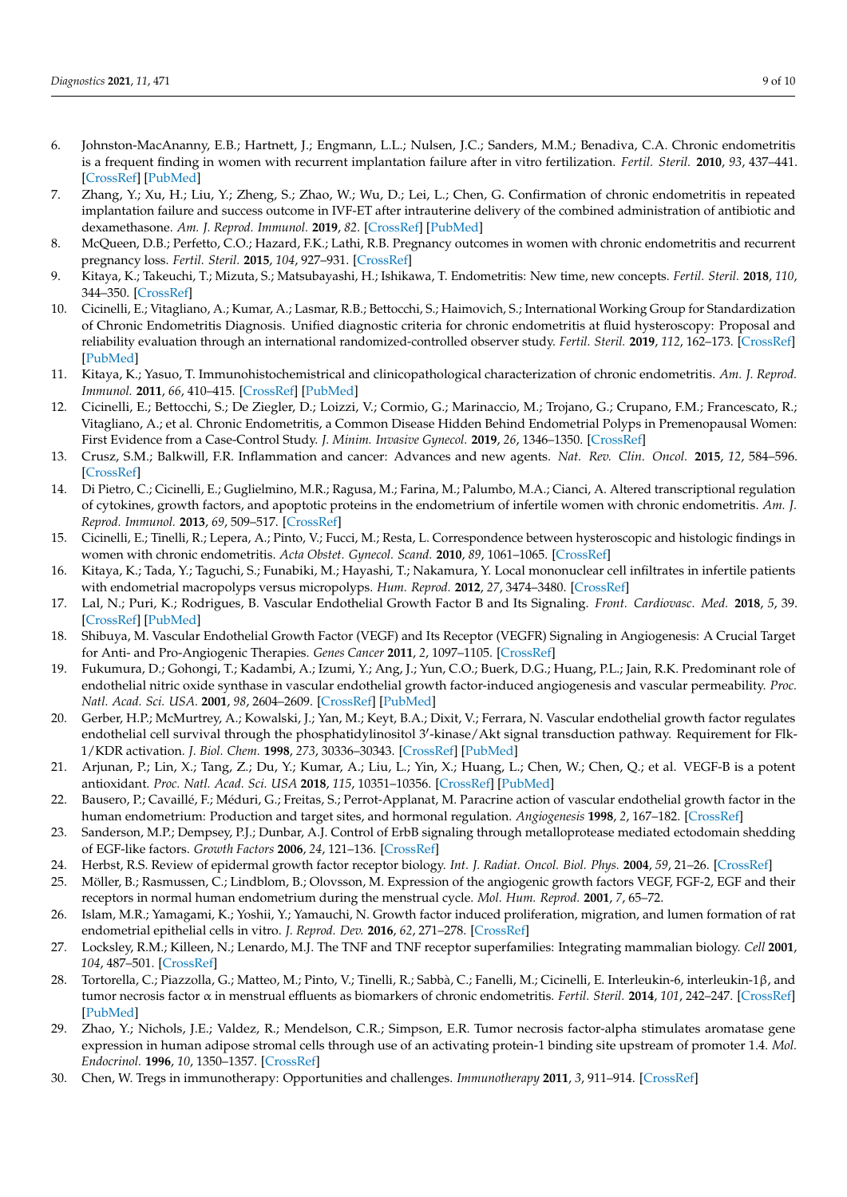- 6. Johnston-MacAnanny, E.B.; Hartnett, J.; Engmann, L.L.; Nulsen, J.C.; Sanders, M.M.; Benadiva, C.A. Chronic endometritis is a frequent finding in women with recurrent implantation failure after in vitro fertilization. *Fertil. Steril.* **2010**, *93*, 437–441. [\[CrossRef\]](http://doi.org/10.1016/j.fertnstert.2008.12.131) [\[PubMed\]](http://www.ncbi.nlm.nih.gov/pubmed/19217098)
- 7. Zhang, Y.; Xu, H.; Liu, Y.; Zheng, S.; Zhao, W.; Wu, D.; Lei, L.; Chen, G. Confirmation of chronic endometritis in repeated implantation failure and success outcome in IVF-ET after intrauterine delivery of the combined administration of antibiotic and dexamethasone. *Am. J. Reprod. Immunol.* **2019**, *82*. [\[CrossRef\]](http://doi.org/10.1111/aji.13177) [\[PubMed\]](http://www.ncbi.nlm.nih.gov/pubmed/31373128)
- <span id="page-8-2"></span>8. McQueen, D.B.; Perfetto, C.O.; Hazard, F.K.; Lathi, R.B. Pregnancy outcomes in women with chronic endometritis and recurrent pregnancy loss. *Fertil. Steril.* **2015**, *104*, 927–931. [\[CrossRef\]](http://doi.org/10.1016/j.fertnstert.2015.06.044)
- <span id="page-8-0"></span>9. Kitaya, K.; Takeuchi, T.; Mizuta, S.; Matsubayashi, H.; Ishikawa, T. Endometritis: New time, new concepts. *Fertil. Steril.* **2018**, *110*, 344–350. [\[CrossRef\]](http://doi.org/10.1016/j.fertnstert.2018.04.012)
- <span id="page-8-1"></span>10. Cicinelli, E.; Vitagliano, A.; Kumar, A.; Lasmar, R.B.; Bettocchi, S.; Haimovich, S.; International Working Group for Standardization of Chronic Endometritis Diagnosis. Unified diagnostic criteria for chronic endometritis at fluid hysteroscopy: Proposal and reliability evaluation through an international randomized-controlled observer study. *Fertil. Steril.* **2019**, *112*, 162–173. [\[CrossRef\]](http://doi.org/10.1016/j.fertnstert.2019.03.004) [\[PubMed\]](http://www.ncbi.nlm.nih.gov/pubmed/31104760)
- <span id="page-8-3"></span>11. Kitaya, K.; Yasuo, T. Immunohistochemistrical and clinicopathological characterization of chronic endometritis. *Am. J. Reprod. Immunol.* **2011**, *66*, 410–415. [\[CrossRef\]](http://doi.org/10.1111/j.1600-0897.2011.01051.x) [\[PubMed\]](http://www.ncbi.nlm.nih.gov/pubmed/21749546)
- <span id="page-8-4"></span>12. Cicinelli, E.; Bettocchi, S.; De Ziegler, D.; Loizzi, V.; Cormio, G.; Marinaccio, M.; Trojano, G.; Crupano, F.M.; Francescato, R.; Vitagliano, A.; et al. Chronic Endometritis, a Common Disease Hidden Behind Endometrial Polyps in Premenopausal Women: First Evidence from a Case-Control Study. *J. Minim. Invasive Gynecol.* **2019**, *26*, 1346–1350. [\[CrossRef\]](http://doi.org/10.1016/j.jmig.2019.01.012)
- <span id="page-8-5"></span>13. Crusz, S.M.; Balkwill, F.R. Inflammation and cancer: Advances and new agents. *Nat. Rev. Clin. Oncol.* **2015**, *12*, 584–596. [\[CrossRef\]](http://doi.org/10.1038/nrclinonc.2015.105)
- <span id="page-8-6"></span>14. Di Pietro, C.; Cicinelli, E.; Guglielmino, M.R.; Ragusa, M.; Farina, M.; Palumbo, M.A.; Cianci, A. Altered transcriptional regulation of cytokines, growth factors, and apoptotic proteins in the endometrium of infertile women with chronic endometritis. *Am. J. Reprod. Immunol.* **2013**, *69*, 509–517. [\[CrossRef\]](http://doi.org/10.1111/aji.12076)
- <span id="page-8-7"></span>15. Cicinelli, E.; Tinelli, R.; Lepera, A.; Pinto, V.; Fucci, M.; Resta, L. Correspondence between hysteroscopic and histologic findings in women with chronic endometritis. *Acta Obstet. Gynecol. Scand.* **2010**, *89*, 1061–1065. [\[CrossRef\]](http://doi.org/10.3109/00016349.2010.498496)
- <span id="page-8-8"></span>16. Kitaya, K.; Tada, Y.; Taguchi, S.; Funabiki, M.; Hayashi, T.; Nakamura, Y. Local mononuclear cell infiltrates in infertile patients with endometrial macropolyps versus micropolyps. *Hum. Reprod.* **2012**, *27*, 3474–3480. [\[CrossRef\]](http://doi.org/10.1093/humrep/des323)
- <span id="page-8-9"></span>17. Lal, N.; Puri, K.; Rodrigues, B. Vascular Endothelial Growth Factor B and Its Signaling. *Front. Cardiovasc. Med.* **2018**, *5*, 39. [\[CrossRef\]](http://doi.org/10.3389/fcvm.2018.00039) [\[PubMed\]](http://www.ncbi.nlm.nih.gov/pubmed/29732375)
- <span id="page-8-10"></span>18. Shibuya, M. Vascular Endothelial Growth Factor (VEGF) and Its Receptor (VEGFR) Signaling in Angiogenesis: A Crucial Target for Anti- and Pro-Angiogenic Therapies. *Genes Cancer* **2011**, *2*, 1097–1105. [\[CrossRef\]](http://doi.org/10.1177/1947601911423031)
- <span id="page-8-11"></span>19. Fukumura, D.; Gohongi, T.; Kadambi, A.; Izumi, Y.; Ang, J.; Yun, C.O.; Buerk, D.G.; Huang, P.L.; Jain, R.K. Predominant role of endothelial nitric oxide synthase in vascular endothelial growth factor-induced angiogenesis and vascular permeability. *Proc. Natl. Acad. Sci. USA.* **2001**, *98*, 2604–2609. [\[CrossRef\]](http://doi.org/10.1073/pnas.041359198) [\[PubMed\]](http://www.ncbi.nlm.nih.gov/pubmed/11226286)
- <span id="page-8-12"></span>20. Gerber, H.P.; McMurtrey, A.; Kowalski, J.; Yan, M.; Keyt, B.A.; Dixit, V.; Ferrara, N. Vascular endothelial growth factor regulates endothelial cell survival through the phosphatidylinositol 3'-kinase/Akt signal transduction pathway. Requirement for Flk-1/KDR activation. *J. Biol. Chem.* **1998**, *273*, 30336–30343. [\[CrossRef\]](http://doi.org/10.1074/jbc.273.46.30336) [\[PubMed\]](http://www.ncbi.nlm.nih.gov/pubmed/9804796)
- <span id="page-8-13"></span>21. Arjunan, P.; Lin, X.; Tang, Z.; Du, Y.; Kumar, A.; Liu, L.; Yin, X.; Huang, L.; Chen, W.; Chen, Q.; et al. VEGF-B is a potent antioxidant. *Proc. Natl. Acad. Sci. USA* **2018**, *115*, 10351–10356. [\[CrossRef\]](http://doi.org/10.1073/pnas.1801379115) [\[PubMed\]](http://www.ncbi.nlm.nih.gov/pubmed/30249667)
- <span id="page-8-14"></span>22. Bausero, P.; Cavaillé, F.; Méduri, G.; Freitas, S.; Perrot-Applanat, M. Paracrine action of vascular endothelial growth factor in the human endometrium: Production and target sites, and hormonal regulation. *Angiogenesis* **1998**, *2*, 167–182. [\[CrossRef\]](http://doi.org/10.1023/A:1009292506879)
- <span id="page-8-15"></span>23. Sanderson, M.P.; Dempsey, P.J.; Dunbar, A.J. Control of ErbB signaling through metalloprotease mediated ectodomain shedding of EGF-like factors. *Growth Factors* **2006**, *24*, 121–136. [\[CrossRef\]](http://doi.org/10.1080/08977190600634373)
- 24. Herbst, R.S. Review of epidermal growth factor receptor biology. *Int. J. Radiat. Oncol. Biol. Phys.* **2004**, *59*, 21–26. [\[CrossRef\]](http://doi.org/10.1016/j.ijrobp.2003.11.041)
- <span id="page-8-16"></span>25. Möller, B.; Rasmussen, C.; Lindblom, B.; Olovsson, M. Expression of the angiogenic growth factors VEGF, FGF-2, EGF and their receptors in normal human endometrium during the menstrual cycle. *Mol. Hum. Reprod.* **2001**, *7*, 65–72.
- <span id="page-8-17"></span>26. Islam, M.R.; Yamagami, K.; Yoshii, Y.; Yamauchi, N. Growth factor induced proliferation, migration, and lumen formation of rat endometrial epithelial cells in vitro. *J. Reprod. Dev.* **2016**, *62*, 271–278. [\[CrossRef\]](http://doi.org/10.1262/jrd.2015-158)
- <span id="page-8-18"></span>27. Locksley, R.M.; Killeen, N.; Lenardo, M.J. The TNF and TNF receptor superfamilies: Integrating mammalian biology. *Cell* **2001**, *104*, 487–501. [\[CrossRef\]](http://doi.org/10.1016/S0092-8674(01)00237-9)
- <span id="page-8-19"></span>28. Tortorella, C.; Piazzolla, G.; Matteo, M.; Pinto, V.; Tinelli, R.; Sabbà, C.; Fanelli, M.; Cicinelli, E. Interleukin-6, interleukin-1β, and tumor necrosis factor α in menstrual effluents as biomarkers of chronic endometritis. *Fertil. Steril.* **2014**, *101*, 242–247. [\[CrossRef\]](http://doi.org/10.1016/j.fertnstert.2013.09.041) [\[PubMed\]](http://www.ncbi.nlm.nih.gov/pubmed/24314919)
- <span id="page-8-20"></span>29. Zhao, Y.; Nichols, J.E.; Valdez, R.; Mendelson, C.R.; Simpson, E.R. Tumor necrosis factor-alpha stimulates aromatase gene expression in human adipose stromal cells through use of an activating protein-1 binding site upstream of promoter 1.4. *Mol. Endocrinol.* **1996**, *10*, 1350–1357. [\[CrossRef\]](http://doi.org/10.1210/mend.10.11.8923461)
- <span id="page-8-21"></span>30. Chen, W. Tregs in immunotherapy: Opportunities and challenges. *Immunotherapy* **2011**, *3*, 911–914. [\[CrossRef\]](http://doi.org/10.2217/imt.11.79)